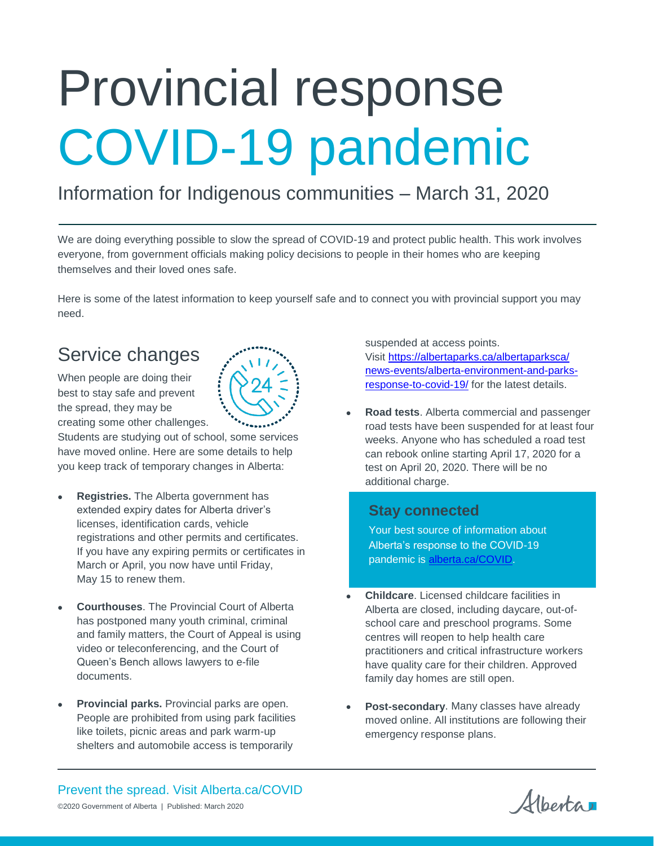# Provincial response COVID-19 pandemic

# Information for Indigenous communities – March 31, 2020

We are doing everything possible to slow the spread of COVID-19 and protect public health. This work involves everyone, from government officials making policy decisions to people in their homes who are keeping themselves and their loved ones safe.

Here is some of the latest information to keep yourself safe and to connect you with provincial support you may need.

## Service changes

When people are doing their best to stay safe and prevent the spread, they may be creating some other challenges.

Students are studying out of school, some services have moved online. Here are some details to help you keep track of temporary changes in Alberta:

- **Registries.** The Alberta government has extended expiry dates for Alberta driver's licenses, identification cards, vehicle registrations and other permits and certificates. If you have any expiring permits or certificates in March or April, you now have until Friday, May 15 to renew them.
- **Courthouses**. The Provincial Court of Alberta has postponed many youth criminal, criminal and family matters, the Court of Appeal is using video or teleconferencing, and the Court of Queen's Bench allows lawyers to e-file documents.
- **Provincial parks.** Provincial parks are open. People are prohibited from using park facilities like toilets, picnic areas and park warm-up shelters and automobile access is temporarily

suspended at access points. Visit [https://albertaparks.ca/albertaparksca/](https://albertaparks.ca/albertaparksca/%0bnews-events/alberta-environment-and-parks-response-to-covid-19/) [news-events/alberta-environment-and-parks](https://albertaparks.ca/albertaparksca/%0bnews-events/alberta-environment-and-parks-response-to-covid-19/)[response-to-covid-19/](https://albertaparks.ca/albertaparksca/%0bnews-events/alberta-environment-and-parks-response-to-covid-19/) for the latest details.

 **Road tests**. Alberta commercial and passenger road tests have been suspended for at least four weeks. Anyone who has scheduled a road test can rebook online starting April 17, 2020 for a test on April 20, 2020. There will be no additional charge.

### **Stay connected**

Your best source of information about Alberta's response to the COVID-19 pandemic is [alberta.ca/COVID.](https://www.alberta.ca/coronavirus-info-for-albertans.aspx)

- **Childcare**. Licensed childcare facilities in Alberta are closed, including daycare, out-ofschool care and preschool programs. Some centres will reopen to help health care practitioners and critical infrastructure workers have quality care for their children. Approved family day homes are still open.
- **Post-secondary**. Many classes have already moved online. All institutions are following their emergency response plans.

Prevent the spread. Visit Alberta.ca/COVID ©2020 Government of Alberta | Published: March 2020

Alberta